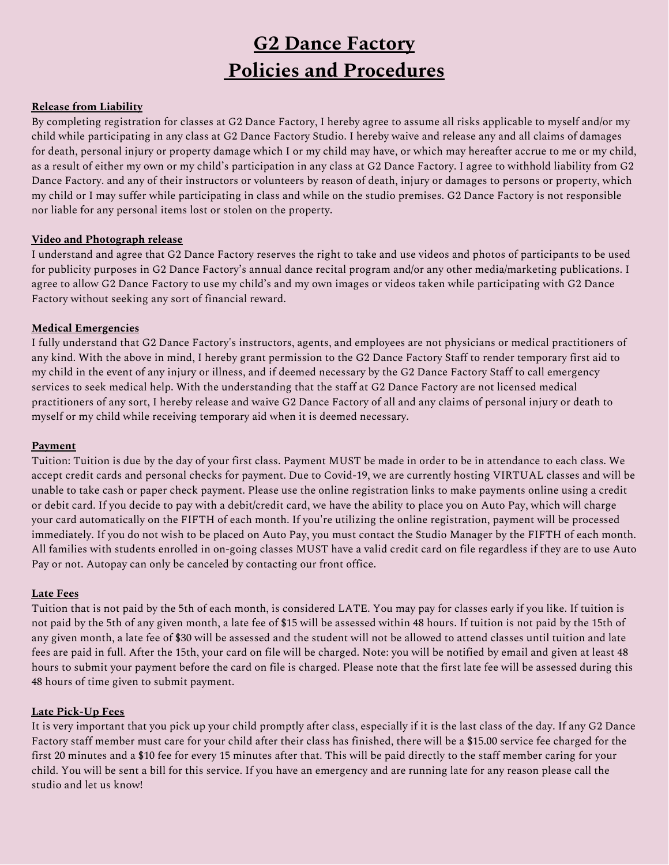# **G2 Dance Factory Policies and Procedures**

# **Release from Liability**

By completing registration for classes at G2 Dance Factory, I hereby agree to assume all risks applicable to myself and/or my child while participating in any class at G2 Dance Factory Studio. I hereby waive and release any and all claims of damages for death, personal injury or property damage which I or my child may have, or which may hereafter accrue to me or my child, as a result of either my own or my child's participation in any class at G2 Dance Factory. I agree to withhold liability from G2 Dance Factory. and any of their instructors or volunteers by reason of death, injury or damages to persons or property, which my child or I may suffer while participating in class and while on the studio premises. G2 Dance Factory is not responsible nor liable for any personal items lost or stolen on the property.

# **Video and Photograph release**

I understand and agree that G2 Dance Factory reserves the right to take and use videos and photos of participants to be used for publicity purposes in G2 Dance Factory's annual dance recital program and/or any other media/marketing publications. I agree to allow G2 Dance Factory to use my child's and my own images or videos taken while participating with G2 Dance Factory without seeking any sort of financial reward.

# **Medical Emergencies**

I fully understand that G2 Dance Factory's instructors, agents, and employees are not physicians or medical practitioners of any kind. With the above in mind, I hereby grant permission to the G2 Dance Factory Staff to render temporary first aid to my child in the event of any injury or illness, and if deemed necessary by the G2 Dance Factory Staff to call emergency services to seek medical help. With the understanding that the staff at G2 Dance Factory are not licensed medical practitioners of any sort, I hereby release and waive G2 Dance Factory of all and any claims of personal injury or death to myself or my child while receiving temporary aid when it is deemed necessary.

#### **Payment**

Tuition: Tuition is due by the day of your first class. Payment MUST be made in order to be in attendance to each class. We accept credit cards and personal checks for payment. Due to Covid-19, we are currently hosting VIRTUAL classes and will be unable to take cash or paper check payment. Please use the online registration links to make payments online using a credit or debit card. If you decide to pay with a debit/credit card, we have the ability to place you on Auto Pay, which will charge your card automatically on the FIFTH of each month. If you're utilizing the online registration, payment will be processed immediately. If you do not wish to be placed on Auto Pay, you must contact the Studio Manager by the FIFTH of each month. All families with students enrolled in on-going classes MUST have a valid credit card on file regardless if they are to use Auto Pay or not. Autopay can only be canceled by contacting our front office.

# **Late Fees**

Tuition that is not paid by the 5th of each month, is considered LATE. You may pay for classes early if you like. If tuition is not paid by the 5th of any given month, a late fee of \$15 will be assessed within 48 hours. If tuition is not paid by the 15th of any given month, a late fee of \$30 will be assessed and the student will not be allowed to attend classes until tuition and late fees are paid in full. After the 15th, your card on file will be charged. Note: you will be notified by email and given at least 48 hours to submit your payment before the card on file is charged. Please note that the first late fee will be assessed during this 48 hours of time given to submit payment.

# **Late Pick-Up Fees**

It is very important that you pick up your child promptly after class, especially if it is the last class of the day. If any G2 Dance Factory staff member must care for your child after their class has finished, there will be a \$15.00 service fee charged for the first 20 minutes and a \$10 fee for every 15 minutes after that. This will be paid directly to the staff member caring for your child. You will be sent a bill for this service. If you have an emergency and are running late for any reason please call the studio and let us know!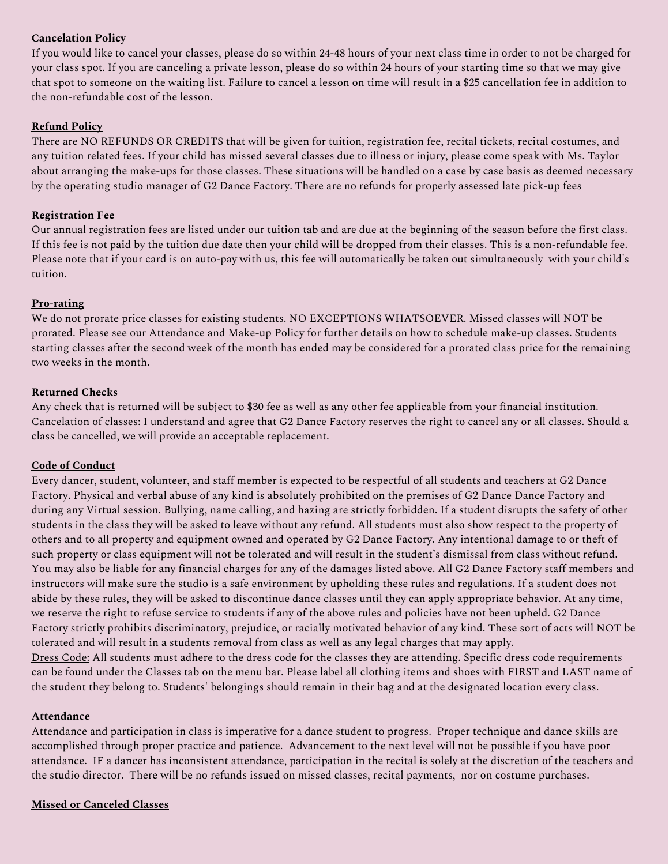# **Cancelation Policy**

If you would like to cancel your classes, please do so within 24-48 hours of your next class time in order to not be charged for your class spot. If you are canceling a private lesson, please do so within 24 hours of your starting time so that we may give that spot to someone on the waiting list. Failure to cancel a lesson on time will result in a \$25 cancellation fee in addition to the non-refundable cost of the lesson.

# **Refund Policy**

There are NO REFUNDS OR CREDITS that will be given for tuition, registration fee, recital tickets, recital costumes, and any tuition related fees. If your child has missed several classes due to illness or injury, please come speak with Ms. Taylor about arranging the make-ups for those classes. These situations will be handled on a case by case basis as deemed necessary by the operating studio manager of G2 Dance Factory. There are no refunds for properly assessed late pick-up fees

# **Registration Fee**

Our annual registration fees are listed under our tuition tab and are due at the beginning of the season before the first class. If this fee is not paid by the tuition due date then your child will be dropped from their classes. This is a non-refundable fee. Please note that if your card is on auto-pay with us, this fee will automatically be taken out simultaneously with your child's tuition.

# **Pro-rating**

We do not prorate price classes for existing students. NO EXCEPTIONS WHATSOEVER. Missed classes will NOT be prorated. Please see our Attendance and Make-up Policy for further details on how to schedule make-up classes. Students starting classes after the second week of the month has ended may be considered for a prorated class price for the remaining two weeks in the month.

# **Returned Checks**

Any check that is returned will be subject to \$30 fee as well as any other fee applicable from your financial institution. Cancelation of classes: I understand and agree that G2 Dance Factory reserves the right to cancel any or all classes. Should a class be cancelled, we will provide an acceptable replacement.

# **Code of Conduct**

Every dancer, student, volunteer, and staff member is expected to be respectful of all students and teachers at G2 Dance Factory. Physical and verbal abuse of any kind is absolutely prohibited on the premises of G2 Dance Dance Factory and during any Virtual session. Bullying, name calling, and hazing are strictly forbidden. If a student disrupts the safety of other students in the class they will be asked to leave without any refund. All students must also show respect to the property of others and to all property and equipment owned and operated by G2 Dance Factory. Any intentional damage to or theft of such property or class equipment will not be tolerated and will result in the student's dismissal from class without refund. You may also be liable for any financial charges for any of the damages listed above. All G2 Dance Factory staff members and instructors will make sure the studio is a safe environment by upholding these rules and regulations. If a student does not abide by these rules, they will be asked to discontinue dance classes until they can apply appropriate behavior. At any time, we reserve the right to refuse service to students if any of the above rules and policies have not been upheld. G2 Dance Factory strictly prohibits discriminatory, prejudice, or racially motivated behavior of any kind. These sort of acts will NOT be tolerated and will result in a students removal from class as well as any legal charges that may apply. Dress Code: All students must adhere to the dress code for the classes they are attending. Specific dress code requirements can be found under the Classes tab on the menu bar. Please label all clothing items and shoes with FIRST and LAST name of

# **Attendance**

Attendance and participation in class is imperative for a dance student to progress. Proper technique and dance skills are accomplished through proper practice and patience. Advancement to the next level will not be possible if you have poor attendance. IF a dancer has inconsistent attendance, participation in the recital is solely at the discretion of the teachers and the studio director. There will be no refunds issued on missed classes, recital payments, nor on costume purchases.

the student they belong to. Students' belongings should remain in their bag and at the designated location every class.

# **Missed or Canceled Classes**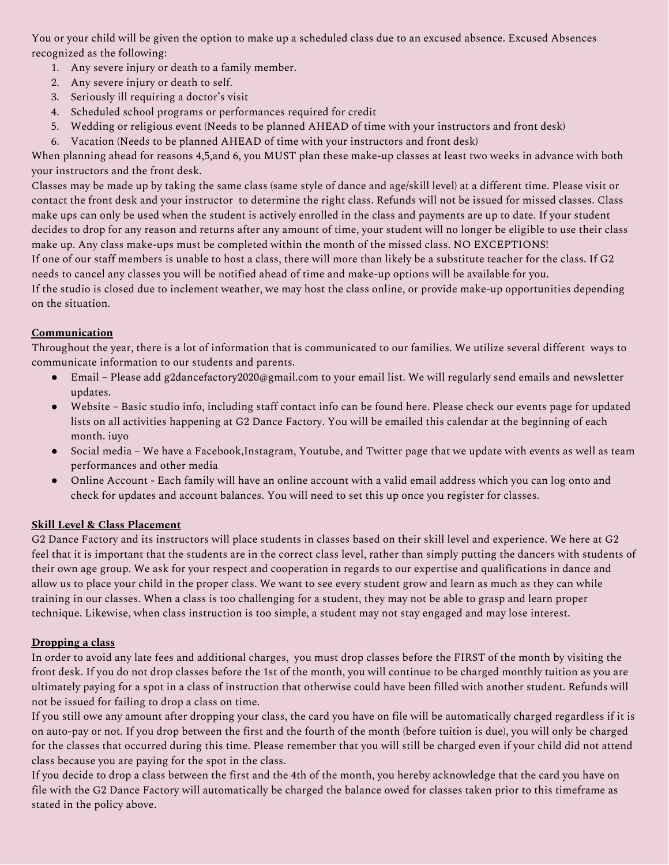You or your child will be given the option to make up a scheduled class due to an excused absence. Excused Absences recognized as the following:

- 1. Any severe injury or death to a family member.
- 2. Any severe injury or death to self.
- 3. Seriously ill requiring a doctor's visit
- 4. Scheduled school programs or performances required for credit
- 5. Wedding or religious event (Needs to be planned AHEAD of time with your instructors and front desk)
- 6. Vacation (Needs to be planned AHEAD of time with your instructors and front desk)

When planning ahead for reasons 4,5,and 6, you MUST plan these make-up classes at least two weeks in advance with both your instructors and the front desk.

Classes may be made up by taking the same class (same style of dance and age/skill level) at a different time. Please visit or contact the front desk and your instructor to determine the right class. Refunds will not be issued for missed classes. Class make ups can only be used when the student is actively enrolled in the class and payments are up to date. If your student decides to drop for any reason and returns after any amount of time, your student will no longer be eligible to use their class make up. Any class make-ups must be completed within the month of the missed class. NO EXCEPTIONS!

If one of our staff members is unable to host a class, there will more than likely be a substitute teacher for the class. If G2 needs to cancel any classes you will be notified ahead of time and make-up options will be available for you.

If the studio is closed due to inclement weather, we may host the class online, or provide make-up opportunities depending on the situation.

# **Communication**

Throughout the year, there is a lot of information that is communicated to our families. We utilize several different ways to communicate information to our students and parents.

- Email Please add g2dancefactory2020@gmail.com to your email list. We will regularly send emails and newsletter updates.
- Website Basic studio info, including staff contact info can be found here. Please check our events page for updated lists on all activities happening at G2 Dance Factory. You will be emailed this calendar at the beginning of each month. iuyo
- Social media We have a Facebook,Instagram, Youtube, and Twitter page that we update with events as well as team performances and other media
- Online Account Each family will have an online account with a valid email address which you can log onto and check for updates and account balances. You will need to set this up once you register for classes.

# **Skill Level & Class Placement**

G2 Dance Factory and its instructors will place students in classes based on their skill level and experience. We here at G2 feel that it is important that the students are in the correct class level, rather than simply putting the dancers with students of their own age group. We ask for your respect and cooperation in regards to our expertise and qualifications in dance and allow us to place your child in the proper class. We want to see every student grow and learn as much as they can while training in our classes. When a class is too challenging for a student, they may not be able to grasp and learn proper technique. Likewise, when class instruction is too simple, a student may not stay engaged and may lose interest.

# **Dropping a class**

In order to avoid any late fees and additional charges, you must drop classes before the FIRST of the month by visiting the front desk. If you do not drop classes before the 1st of the month, you will continue to be charged monthly tuition as you are ultimately paying for a spot in a class of instruction that otherwise could have been filled with another student. Refunds will not be issued for failing to drop a class on time.

If you still owe any amount after dropping your class, the card you have on file will be automatically charged regardless if it is on auto-pay or not. If you drop between the first and the fourth of the month (before tuition is due), you will only be charged for the classes that occurred during this time. Please remember that you will still be charged even if your child did not attend class because you are paying for the spot in the class.

If you decide to drop a class between the first and the 4th of the month, you hereby acknowledge that the card you have on file with the G2 Dance Factory will automatically be charged the balance owed for classes taken prior to this timeframe as stated in the policy above.